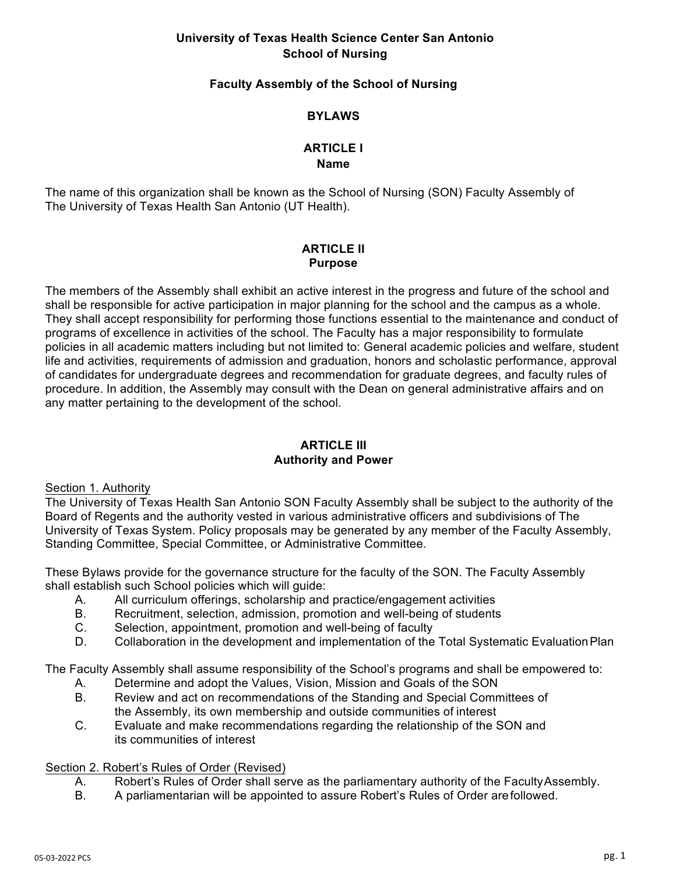# **University of Texas Health Science Center San Antonio School of Nursing**

## **Faculty Assembly of the School of Nursing**

## **BYLAWS**

#### **ARTICLE I Name**

The name of this organization shall be known as the School of Nursing (SON) Faculty Assembly of The University of Texas Health San Antonio (UT Health).

## **ARTICLE II Purpose**

The members of the Assembly shall exhibit an active interest in the progress and future of the school and shall be responsible for active participation in major planning for the school and the campus as a whole. They shall accept responsibility for performing those functions essential to the maintenance and conduct of programs of excellence in activities of the school. The Faculty has a major responsibility to formulate policies in all academic matters including but not limited to: General academic policies and welfare, student life and activities, requirements of admission and graduation, honors and scholastic performance, approval of candidates for undergraduate degrees and recommendation for graduate degrees, and faculty rules of procedure. In addition, the Assembly may consult with the Dean on general administrative affairs and on any matter pertaining to the development of the school.

# **ARTICLE III Authority and Power**

#### Section 1. Authority

The University of Texas Health San Antonio SON Faculty Assembly shall be subject to the authority of the Board of Regents and the authority vested in various administrative officers and subdivisions of The University of Texas System. Policy proposals may be generated by any member of the Faculty Assembly, Standing Committee, Special Committee, or Administrative Committee.

These Bylaws provide for the governance structure for the faculty of the SON. The Faculty Assembly shall establish such School policies which will guide:

- A. All curriculum offerings, scholarship and practice/engagement activities
- B. Recruitment, selection, admission, promotion and well-being of students
- C. Selection, appointment, promotion and well-being of faculty
- D. Collaboration in the development and implementation of the Total Systematic EvaluationPlan

The Faculty Assembly shall assume responsibility of the School's programs and shall be empowered to:

- A. Determine and adopt the Values, Vision, Mission and Goals of the SON
- B. Review and act on recommendations of the Standing and Special Committees of the Assembly, its own membership and outside communities of interest
- C. Evaluate and make recommendations regarding the relationship of the SON and its communities of interest

#### Section 2. Robert's Rules of Order (Revised)

- A. Robert's Rules of Order shall serve as the parliamentary authority of the FacultyAssembly.<br>B. A parliamentarian will be appointed to assure Robert's Rules of Order arefollowed.
- B. A parliamentarian will be appointed to assure Robert's Rules of Order arefollowed.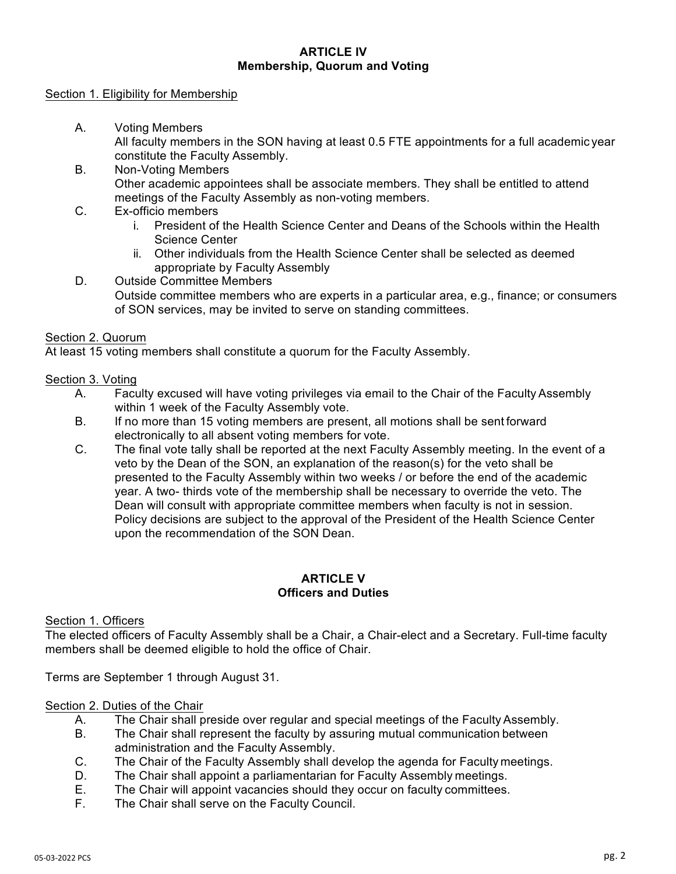## **ARTICLE IV Membership, Quorum and Voting**

#### Section 1. Eligibility for Membership

A. Voting Members

All faculty members in the SON having at least 0.5 FTE appointments for a full academic year constitute the Faculty Assembly.

- B. Non-Voting Members Other academic appointees shall be associate members. They shall be entitled to attend meetings of the Faculty Assembly as non-voting members.
- C. Ex-officio members
	- i. President of the Health Science Center and Deans of the Schools within the Health Science Center
	- ii. Other individuals from the Health Science Center shall be selected as deemed appropriate by Faculty Assembly
- D. Outside Committee Members Outside committee members who are experts in a particular area, e.g., finance; or consumers of SON services, may be invited to serve on standing committees.

# Section 2. Quorum

At least 15 voting members shall constitute a quorum for the Faculty Assembly.

## Section 3. Voting

- A. Faculty excused will have voting privileges via email to the Chair of the Faculty Assembly within 1 week of the Faculty Assembly vote.
- B. If no more than 15 voting members are present, all motions shall be sent forward electronically to all absent voting members for vote.
- C. The final vote tally shall be reported at the next Faculty Assembly meeting. In the event of a veto by the Dean of the SON, an explanation of the reason(s) for the veto shall be presented to the Faculty Assembly within two weeks / or before the end of the academic year. A two- thirds vote of the membership shall be necessary to override the veto. The Dean will consult with appropriate committee members when faculty is not in session. Policy decisions are subject to the approval of the President of the Health Science Center upon the recommendation of the SON Dean.

# **ARTICLE V Officers and Duties**

#### Section 1. Officers

The elected officers of Faculty Assembly shall be a Chair, a Chair-elect and a Secretary. Full-time faculty members shall be deemed eligible to hold the office of Chair.

Terms are September 1 through August 31.

#### Section 2. Duties of the Chair

- A. The Chair shall preside over regular and special meetings of the Faculty Assembly.
- B. The Chair shall represent the faculty by assuring mutual communication between administration and the Faculty Assembly.
- C. The Chair of the Faculty Assembly shall develop the agenda for Faculty meetings.
- D. The Chair shall appoint a parliamentarian for Faculty Assembly meetings.
- E. The Chair will appoint vacancies should they occur on faculty committees.
- F. The Chair shall serve on the Faculty Council.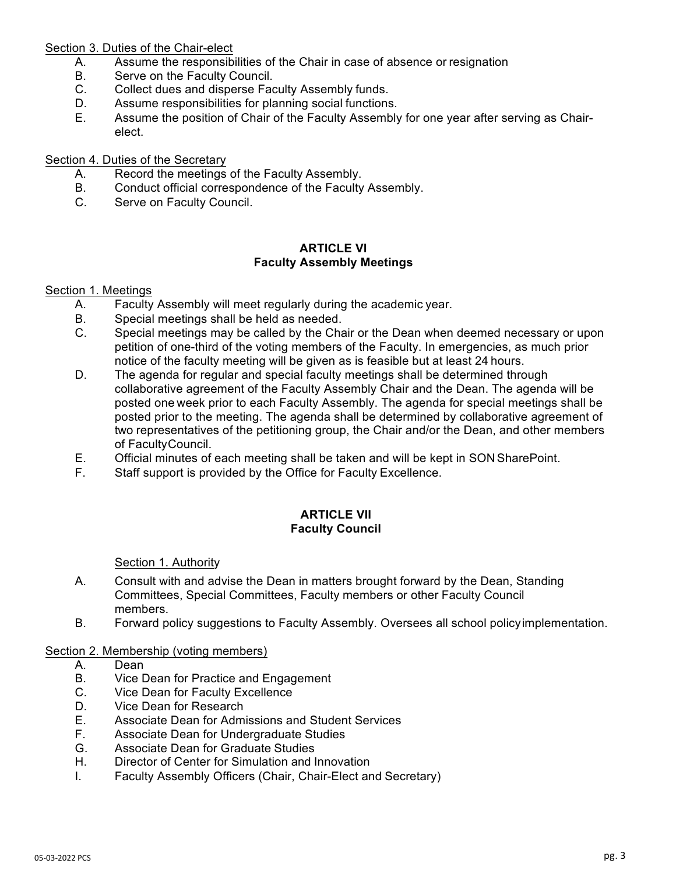## Section 3. Duties of the Chair-elect

- A. Assume the responsibilities of the Chair in case of absence or resignation
- B. Serve on the Faculty Council.
- C. Collect dues and disperse Faculty Assembly funds.
- D. Assume responsibilities for planning social functions.
- E. Assume the position of Chair of the Faculty Assembly for one year after serving as Chairelect.

# Section 4. Duties of the Secretary

- A. Record the meetings of the Faculty Assembly.
- B. Conduct official correspondence of the Faculty Assembly.
- C. Serve on Faculty Council.

#### **ARTICLE VI Faculty Assembly Meetings**

## Section 1. Meetings

- A. Faculty Assembly will meet regularly during the academic year.
- B. Special meetings shall be held as needed.
- C. Special meetings may be called by the Chair or the Dean when deemed necessary or upon petition of one-third of the voting members of the Faculty. In emergencies, as much prior notice of the faculty meeting will be given as is feasible but at least 24 hours.
- D. The agenda for regular and special faculty meetings shall be determined through collaborative agreement of the Faculty Assembly Chair and the Dean. The agenda will be posted one week prior to each Faculty Assembly. The agenda for special meetings shall be posted prior to the meeting. The agenda shall be determined by collaborative agreement of two representatives of the petitioning group, the Chair and/or the Dean, and other members of FacultyCouncil.
- E. Official minutes of each meeting shall be taken and will be kept in SON SharePoint.
- F. Staff support is provided by the Office for Faculty Excellence.

## **ARTICLE VII Faculty Council**

Section 1. Authority

- A. Consult with and advise the Dean in matters brought forward by the Dean, Standing Committees, Special Committees, Faculty members or other Faculty Council members.
- B. Forward policy suggestions to Faculty Assembly. Oversees all school policyimplementation.

## Section 2. Membership (voting members)

- A. Dean
- B. Vice Dean for Practice and Engagement
- C. Vice Dean for Faculty Excellence
- D. Vice Dean for Research
- E. Associate Dean for Admissions and Student Services
- F. Associate Dean for Undergraduate Studies
- G. Associate Dean for Graduate Studies
- H. Director of Center for Simulation and Innovation
- I. Faculty Assembly Officers (Chair, Chair-Elect and Secretary)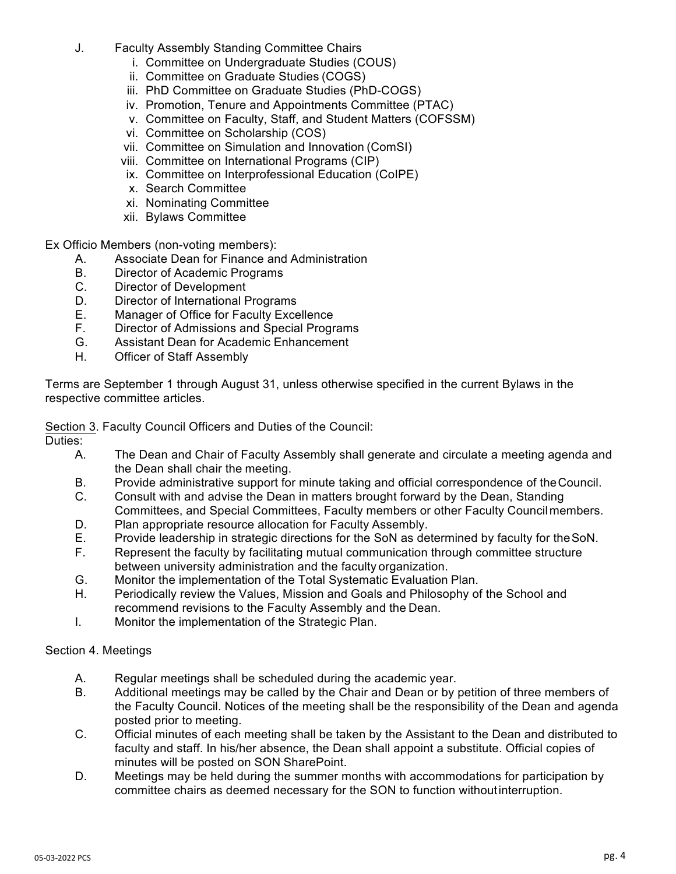- J. Faculty Assembly Standing Committee Chairs
	- i. Committee on Undergraduate Studies (COUS)
	- ii. Committee on Graduate Studies (COGS)
	- iii. PhD Committee on Graduate Studies (PhD-COGS)
	- iv. Promotion, Tenure and Appointments Committee (PTAC)
	- v. Committee on Faculty, Staff, and Student Matters (COFSSM)
	- vi. Committee on Scholarship (COS)
	- vii. Committee on Simulation and Innovation (ComSI)
	- viii. Committee on International Programs (CIP)
	- ix. Committee on Interprofessional Education (CoIPE)
	- x. Search Committee
	- xi. Nominating Committee
	- xii. Bylaws Committee

Ex Officio Members (non-voting members):

- A. Associate Dean for Finance and Administration
- B. Director of Academic Programs
- C. Director of Development
- D. Director of International Programs
- E. Manager of Office for Faculty Excellence
- F. Director of Admissions and Special Programs
- G. Assistant Dean for Academic Enhancement
- H. Officer of Staff Assembly

Terms are September 1 through August 31, unless otherwise specified in the current Bylaws in the respective committee articles.

Section 3. Faculty Council Officers and Duties of the Council:

Duties:

- A. The Dean and Chair of Faculty Assembly shall generate and circulate a meeting agenda and the Dean shall chair the meeting.
- B. Provide administrative support for minute taking and official correspondence of theCouncil.
- C. Consult with and advise the Dean in matters brought forward by the Dean, Standing Committees, and Special Committees, Faculty members or other Faculty Councilmembers.
- D. Plan appropriate resource allocation for Faculty Assembly.
- E. Provide leadership in strategic directions for the SoN as determined by faculty for the SoN.
- F. Represent the faculty by facilitating mutual communication through committee structure between university administration and the faculty organization.
- G. Monitor the implementation of the Total Systematic Evaluation Plan.
- H. Periodically review the Values, Mission and Goals and Philosophy of the School and recommend revisions to the Faculty Assembly and the Dean.
- I. Monitor the implementation of the Strategic Plan.

# Section 4. Meetings

- A. Regular meetings shall be scheduled during the academic year.
- B. Additional meetings may be called by the Chair and Dean or by petition of three members of the Faculty Council. Notices of the meeting shall be the responsibility of the Dean and agenda posted prior to meeting.
- C. Official minutes of each meeting shall be taken by the Assistant to the Dean and distributed to faculty and staff. In his/her absence, the Dean shall appoint a substitute. Official copies of minutes will be posted on SON SharePoint.
- D. Meetings may be held during the summer months with accommodations for participation by committee chairs as deemed necessary for the SON to function withoutinterruption.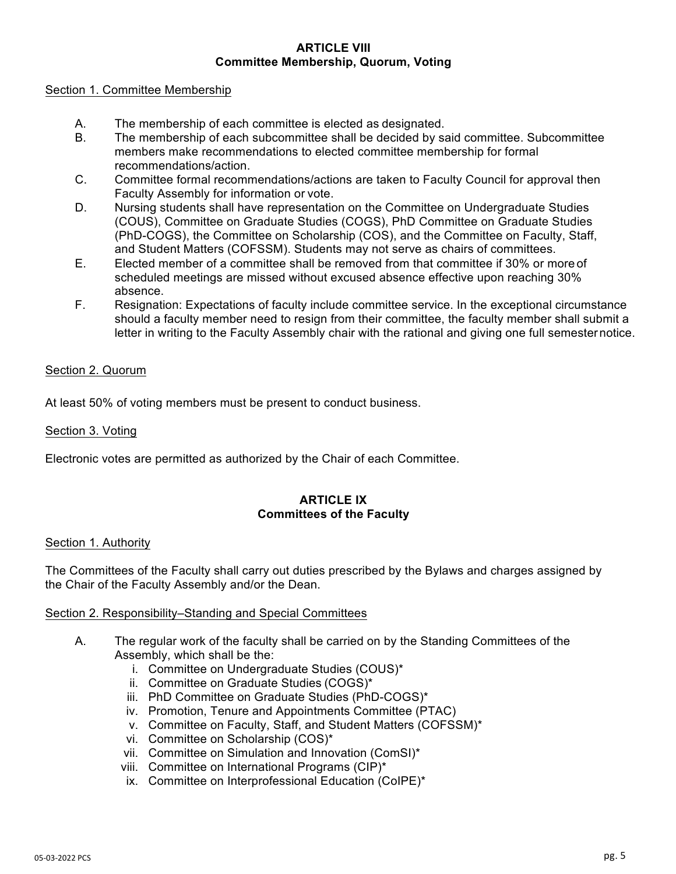#### **ARTICLE VIII Committee Membership, Quorum, Voting**

## Section 1. Committee Membership

- A. The membership of each committee is elected as designated.
- B. The membership of each subcommittee shall be decided by said committee. Subcommittee members make recommendations to elected committee membership for formal recommendations/action.
- C. Committee formal recommendations/actions are taken to Faculty Council for approval then Faculty Assembly for information or vote.
- D. Nursing students shall have representation on the Committee on Undergraduate Studies (COUS), Committee on Graduate Studies (COGS), PhD Committee on Graduate Studies (PhD-COGS), the Committee on Scholarship (COS), and the Committee on Faculty, Staff, and Student Matters (COFSSM). Students may not serve as chairs of committees.
- E. Elected member of a committee shall be removed from that committee if 30% or more of scheduled meetings are missed without excused absence effective upon reaching 30% absence.
- F. Resignation: Expectations of faculty include committee service. In the exceptional circumstance should a faculty member need to resign from their committee, the faculty member shall submit a letter in writing to the Faculty Assembly chair with the rational and giving one full semesternotice.

# Section 2. Quorum

At least 50% of voting members must be present to conduct business.

# Section 3. Voting

Electronic votes are permitted as authorized by the Chair of each Committee.

# **ARTICLE IX Committees of the Faculty**

# Section 1. Authority

The Committees of the Faculty shall carry out duties prescribed by the Bylaws and charges assigned by the Chair of the Faculty Assembly and/or the Dean.

# Section 2. Responsibility–Standing and Special Committees

- A. The regular work of the faculty shall be carried on by the Standing Committees of the Assembly, which shall be the:
	- i. Committee on Undergraduate Studies (COUS)\*
	- ii. Committee on Graduate Studies (COGS)\*
	- iii. PhD Committee on Graduate Studies (PhD-COGS)\*
	- iv. Promotion, Tenure and Appointments Committee (PTAC)
	- v. Committee on Faculty, Staff, and Student Matters (COFSSM)\*
	- vi. Committee on Scholarship (COS)\*
	- vii. Committee on Simulation and Innovation (ComSI)\*
	- viii. Committee on International Programs (CIP)\*
	- ix. Committee on Interprofessional Education (CoIPE)\*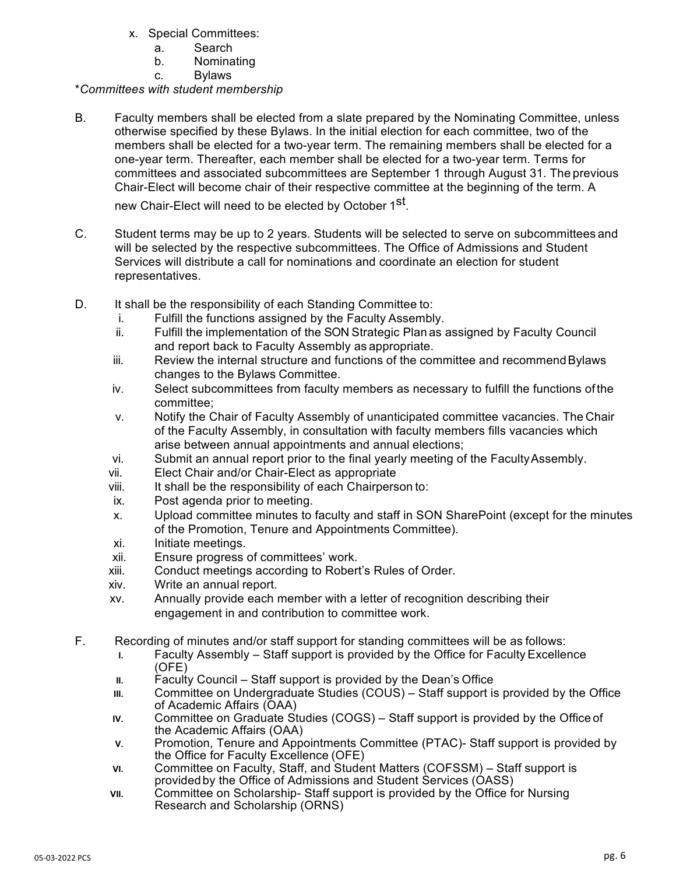- x. Special Committees:
	- a. Search
	- b. Nominating
	- c. Bylaws

# \**Committees with student membership*

B. Faculty members shall be elected from a slate prepared by the Nominating Committee, unless otherwise specified by these Bylaws. In the initial election for each committee, two of the members shall be elected for a two-year term. The remaining members shall be elected for a one-year term. Thereafter, each member shall be elected for a two-year term. Terms for committees and associated subcommittees are September 1 through August 31. The previous Chair-Elect will become chair of their respective committee at the beginning of the term. A

new Chair-Elect will need to be elected by October 1<sup>st</sup>.

- C. Student terms may be up to 2 years. Students will be selected to serve on subcommittees and will be selected by the respective subcommittees. The Office of Admissions and Student Services will distribute a call for nominations and coordinate an election for student representatives.
- D. It shall be the responsibility of each Standing Committee to:
	- i. Fulfill the functions assigned by the Faculty Assembly.
	- ii. Fulfill the implementation of the SON Strategic Plan as assigned by Faculty Council and report back to Faculty Assembly as appropriate.
	- iii. Review the internal structure and functions of the committee and recommendBylaws changes to the Bylaws Committee.
	- iv. Select subcommittees from faculty members as necessary to fulfill the functions of the committee;
	- v. Notify the Chair of Faculty Assembly of unanticipated committee vacancies. The Chair of the Faculty Assembly, in consultation with faculty members fills vacancies which arise between annual appointments and annual elections;
	- vi. Submit an annual report prior to the final yearly meeting of the FacultyAssembly.
	- vii. Elect Chair and/or Chair-Elect as appropriate
	- viii. It shall be the responsibility of each Chairperson to:
	- ix. Post agenda prior to meeting.
	- x. Upload committee minutes to faculty and staff in SON SharePoint (except for the minutes of the Promotion, Tenure and Appointments Committee).
	- xi. Initiate meetings.
	- xii. Ensure progress of committees' work.
	- xiii. Conduct meetings according to Robert's Rules of Order.
	- xiv. Write an annual report.
	- xv. Annually provide each member with a letter of recognition describing their engagement in and contribution to committee work.
- F. Recording of minutes and/or staff support for standing committees will be as follows:
	- **I.** Faculty Assembly Staff support is provided by the Office for Faculty Excellence (OFE)
	- II. Faculty Council Staff support is provided by the Dean's Office
	- **III.** Committee on Undergraduate Studies (COUS) Staff support is provided by the Office of Academic Affairs (OAA)
	- **IV.** Committee on Graduate Studies (COGS) Staff support is provided by the Office of the Academic Affairs (OAA)
	- **V.** Promotion, Tenure and Appointments Committee (PTAC)- Staff support is provided by the Office for Faculty Excellence (OFE)
	- **VI.** Committee on Faculty, Staff, and Student Matters (COFSSM) Staff support is providedby the Office of Admissions and Student Services (OASS)
	- **VII.** Committee on Scholarship- Staff support is provided by the Office for Nursing Research and Scholarship (ORNS)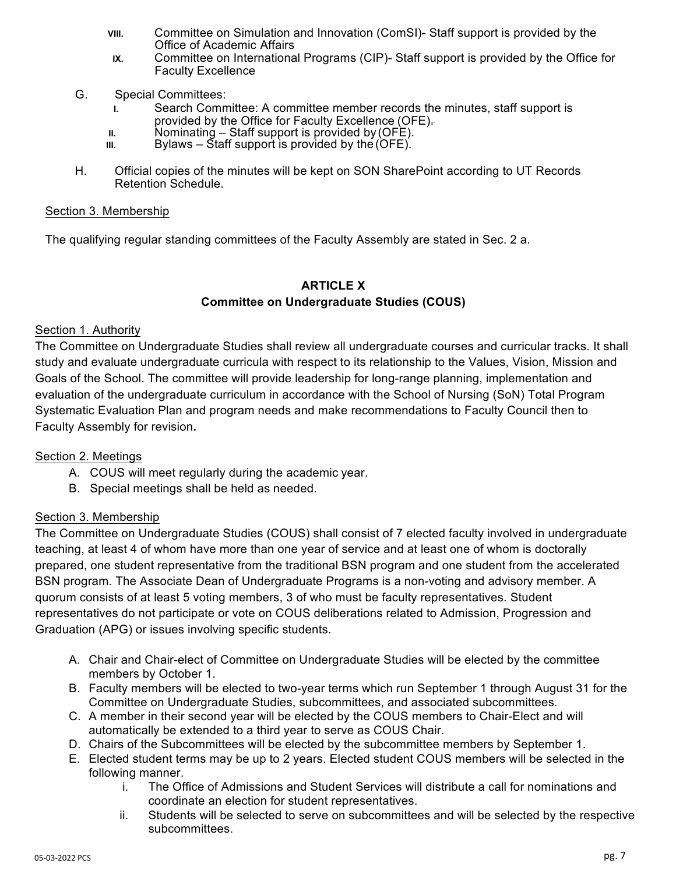- **VIII.** Committee on Simulation and Innovation (ComSI)- Staff support is provided by the Office of Academic Affairs
- **IX.** Committee on International Programs (CIP)- Staff support is provided by the Office for Faculty Excellence
- G. Special Committees:
	- **I.** Search Committee: A committee member records the minutes, staff support is provided by the Office for Faculty Excellence (OFE).
	- **II.** Nominating Staff support is provided by (OFE).
	- **III.** Bylaws Staff support is provided by the (OFE).
- H. Official copies of the minutes will be kept on SON SharePoint according to UT Records Retention Schedule.

## Section 3. Membership

The qualifying regular standing committees of the Faculty Assembly are stated in Sec. 2 a.

# **ARTICLE X Committee on Undergraduate Studies (COUS)**

# Section 1. Authority

The Committee on Undergraduate Studies shall review all undergraduate courses and curricular tracks. It shall study and evaluate undergraduate curricula with respect to its relationship to the Values, Vision, Mission and Goals of the School. The committee will provide leadership for long-range planning, implementation and evaluation of the undergraduate curriculum in accordance with the School of Nursing (SoN) Total Program Systematic Evaluation Plan and program needs and make recommendations to Faculty Council then to Faculty Assembly for revision**.**

# Section 2. Meetings

- A. COUS will meet regularly during the academic year.
- B. Special meetings shall be held as needed.

# Section 3. Membership

The Committee on Undergraduate Studies (COUS) shall consist of 7 elected faculty involved in undergraduate teaching, at least 4 of whom have more than one year of service and at least one of whom is doctorally prepared, one student representative from the traditional BSN program and one student from the accelerated BSN program. The Associate Dean of Undergraduate Programs is a non-voting and advisory member. A quorum consists of at least 5 voting members, 3 of who must be faculty representatives. Student representatives do not participate or vote on COUS deliberations related to Admission, Progression and Graduation (APG) or issues involving specific students.

- A. Chair and Chair-elect of Committee on Undergraduate Studies will be elected by the committee members by October 1.
- B. Faculty members will be elected to two-year terms which run September 1 through August 31 for the Committee on Undergraduate Studies, subcommittees, and associated subcommittees.
- C. A member in their second year will be elected by the COUS members to Chair-Elect and will automatically be extended to a third year to serve as COUS Chair.
- D. Chairs of the Subcommittees will be elected by the subcommittee members by September 1.
- E. Elected student terms may be up to 2 years. Elected student COUS members will be selected in the following manner.
	- i. The Office of Admissions and Student Services will distribute a call for nominations and coordinate an election for student representatives.
	- ii. Students will be selected to serve on subcommittees and will be selected by the respective subcommittees.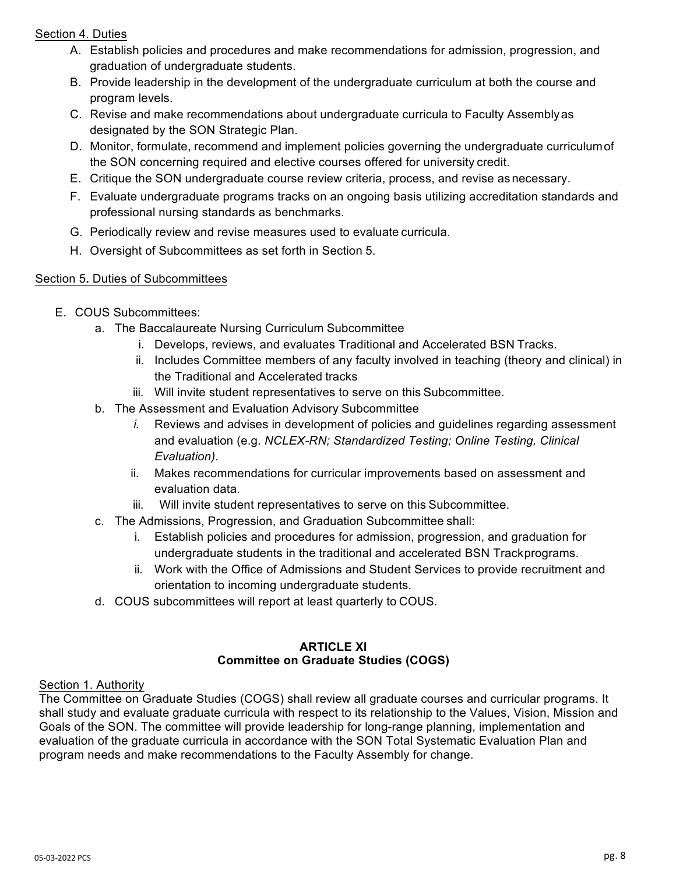# Section 4. Duties

- A. Establish policies and procedures and make recommendations for admission, progression, and graduation of undergraduate students.
- B. Provide leadership in the development of the undergraduate curriculum at both the course and program levels.
- C. Revise and make recommendations about undergraduate curricula to Faculty Assemblyas designated by the SON Strategic Plan.
- D. Monitor, formulate, recommend and implement policies governing the undergraduate curriculumof the SON concerning required and elective courses offered for university credit.
- E. Critique the SON undergraduate course review criteria, process, and revise as necessary.
- F. Evaluate undergraduate programs tracks on an ongoing basis utilizing accreditation standards and professional nursing standards as benchmarks.
- G. Periodically review and revise measures used to evaluate curricula.
- H. Oversight of Subcommittees as set forth in Section 5.

# Section 5**.** Duties of Subcommittees

- E. COUS Subcommittees:
	- a. The Baccalaureate Nursing Curriculum Subcommittee
		- i. Develops, reviews, and evaluates Traditional and Accelerated BSN Tracks.
		- ii. Includes Committee members of any faculty involved in teaching (theory and clinical) in the Traditional and Accelerated tracks
		- iii. Will invite student representatives to serve on this Subcommittee.
	- b. The Assessment and Evaluation Advisory Subcommittee
		- *i.* Reviews and advises in development of policies and guidelines regarding assessment and evaluation (e.g. *NCLEX-RN; Standardized Testing; Online Testing, Clinical Evaluation).*
		- ii. Makes recommendations for curricular improvements based on assessment and evaluation data.
		- iii. Will invite student representatives to serve on this Subcommittee.
	- c. The Admissions, Progression, and Graduation Subcommittee shall:
		- i. Establish policies and procedures for admission, progression, and graduation for undergraduate students in the traditional and accelerated BSN Trackprograms.
		- ii. Work with the Office of Admissions and Student Services to provide recruitment and orientation to incoming undergraduate students.
	- d. COUS subcommittees will report at least quarterly to COUS.

# **ARTICLE XI Committee on Graduate Studies (COGS)**

# Section 1. Authority

The Committee on Graduate Studies (COGS) shall review all graduate courses and curricular programs. It shall study and evaluate graduate curricula with respect to its relationship to the Values, Vision, Mission and Goals of the SON. The committee will provide leadership for long-range planning, implementation and evaluation of the graduate curricula in accordance with the SON Total Systematic Evaluation Plan and program needs and make recommendations to the Faculty Assembly for change.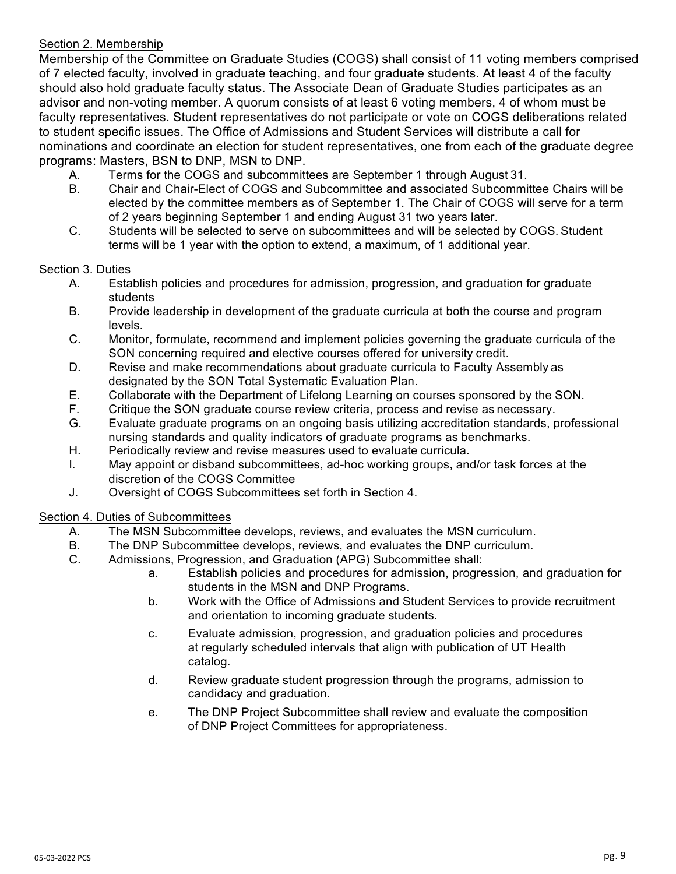# Section 2. Membership

Membership of the Committee on Graduate Studies (COGS) shall consist of 11 voting members comprised of 7 elected faculty, involved in graduate teaching, and four graduate students. At least 4 of the faculty should also hold graduate faculty status. The Associate Dean of Graduate Studies participates as an advisor and non-voting member. A quorum consists of at least 6 voting members, 4 of whom must be faculty representatives. Student representatives do not participate or vote on COGS deliberations related to student specific issues. The Office of Admissions and Student Services will distribute a call for nominations and coordinate an election for student representatives, one from each of the graduate degree programs: Masters, BSN to DNP, MSN to DNP.

- A. Terms for the COGS and subcommittees are September 1 through August 31.
- B. Chair and Chair-Elect of COGS and Subcommittee and associated Subcommittee Chairs will be elected by the committee members as of September 1. The Chair of COGS will serve for a term of 2 years beginning September 1 and ending August 31 two years later.
- C. Students will be selected to serve on subcommittees and will be selected by COGS. Student terms will be 1 year with the option to extend, a maximum, of 1 additional year.

# Section 3. Duties

- A. Establish policies and procedures for admission, progression, and graduation for graduate students
- B. Provide leadership in development of the graduate curricula at both the course and program levels.
- C. Monitor, formulate, recommend and implement policies governing the graduate curricula of the SON concerning required and elective courses offered for university credit.
- D. Revise and make recommendations about graduate curricula to Faculty Assembly as designated by the SON Total Systematic Evaluation Plan.
- E. Collaborate with the Department of Lifelong Learning on courses sponsored by the SON.
- F. Critique the SON graduate course review criteria, process and revise as necessary.
- G. Evaluate graduate programs on an ongoing basis utilizing accreditation standards, professional nursing standards and quality indicators of graduate programs as benchmarks.
- H. Periodically review and revise measures used to evaluate curricula.
- I. May appoint or disband subcommittees, ad-hoc working groups, and/or task forces at the discretion of the COGS Committee
- J. Oversight of COGS Subcommittees set forth in Section 4.

# Section 4. Duties of Subcommittees

- A. The MSN Subcommittee develops, reviews, and evaluates the MSN curriculum.
- B. The DNP Subcommittee develops, reviews, and evaluates the DNP curriculum.
- C. Admissions, Progression, and Graduation (APG) Subcommittee shall:
	- a. Establish policies and procedures for admission, progression, and graduation for students in the MSN and DNP Programs.
	- b. Work with the Office of Admissions and Student Services to provide recruitment and orientation to incoming graduate students.
	- c. Evaluate admission, progression, and graduation policies and procedures at regularly scheduled intervals that align with publication of UT Health catalog.
	- d. Review graduate student progression through the programs, admission to candidacy and graduation.
	- e. The DNP Project Subcommittee shall review and evaluate the composition of DNP Project Committees for appropriateness.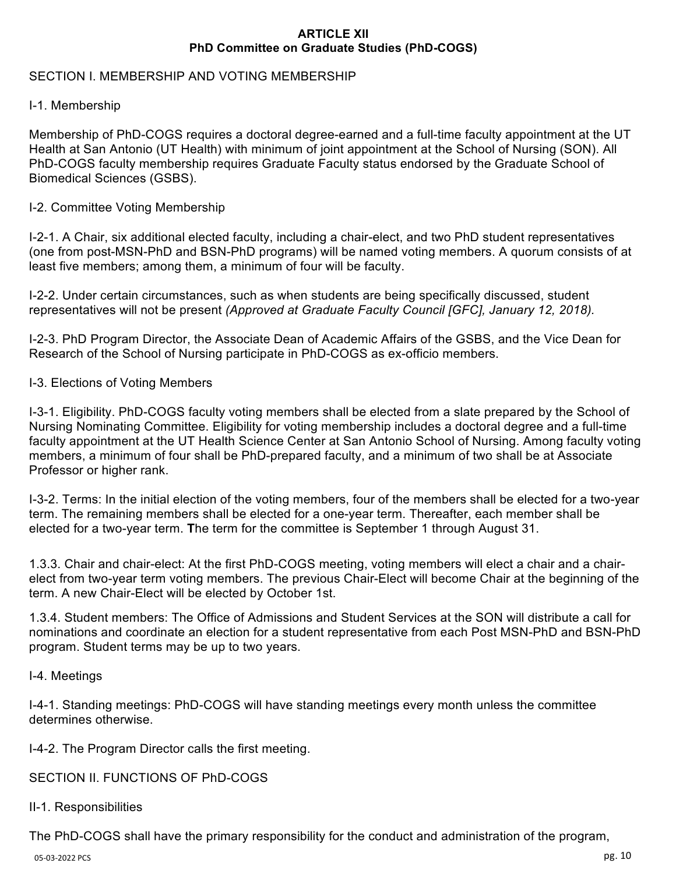## **ARTICLE XII PhD Committee on Graduate Studies (PhD-COGS)**

# SECTION I. MEMBERSHIP AND VOTING MEMBERSHIP

# I-1. Membership

Membership of PhD-COGS requires a doctoral degree-earned and a full-time faculty appointment at the UT Health at San Antonio (UT Health) with minimum of joint appointment at the School of Nursing (SON). All PhD-COGS faculty membership requires Graduate Faculty status endorsed by the Graduate School of Biomedical Sciences (GSBS).

# I-2. Committee Voting Membership

I-2-1. A Chair, six additional elected faculty, including a chair-elect, and two PhD student representatives (one from post-MSN-PhD and BSN-PhD programs) will be named voting members. A quorum consists of at least five members; among them, a minimum of four will be faculty.

I-2-2. Under certain circumstances, such as when students are being specifically discussed, student representatives will not be present *(Approved at Graduate Faculty Council [GFC], January 12, 2018).* 

I-2-3. PhD Program Director, the Associate Dean of Academic Affairs of the GSBS, and the Vice Dean for Research of the School of Nursing participate in PhD-COGS as ex-officio members.

# I-3. Elections of Voting Members

I-3-1. Eligibility. PhD-COGS faculty voting members shall be elected from a slate prepared by the School of Nursing Nominating Committee. Eligibility for voting membership includes a doctoral degree and a full-time faculty appointment at the UT Health Science Center at San Antonio School of Nursing. Among faculty voting members, a minimum of four shall be PhD-prepared faculty, and a minimum of two shall be at Associate Professor or higher rank.

I-3-2. Terms: In the initial election of the voting members, four of the members shall be elected for a two-year term. The remaining members shall be elected for a one-year term. Thereafter, each member shall be elected for a two-year term. **T**he term for the committee is September 1 through August 31.

1.3.3. Chair and chair-elect: At the first PhD-COGS meeting, voting members will elect a chair and a chairelect from two-year term voting members. The previous Chair-Elect will become Chair at the beginning of the term. A new Chair-Elect will be elected by October 1st.

1.3.4. Student members: The Office of Admissions and Student Services at the SON will distribute a call for nominations and coordinate an election for a student representative from each Post MSN-PhD and BSN-PhD program. Student terms may be up to two years.

# I-4. Meetings

I-4-1. Standing meetings: PhD-COGS will have standing meetings every month unless the committee determines otherwise.

I-4-2. The Program Director calls the first meeting.

SECTION II. FUNCTIONS OF PhD-COGS

# II-1. Responsibilities

The PhD-COGS shall have the primary responsibility for the conduct and administration of the program,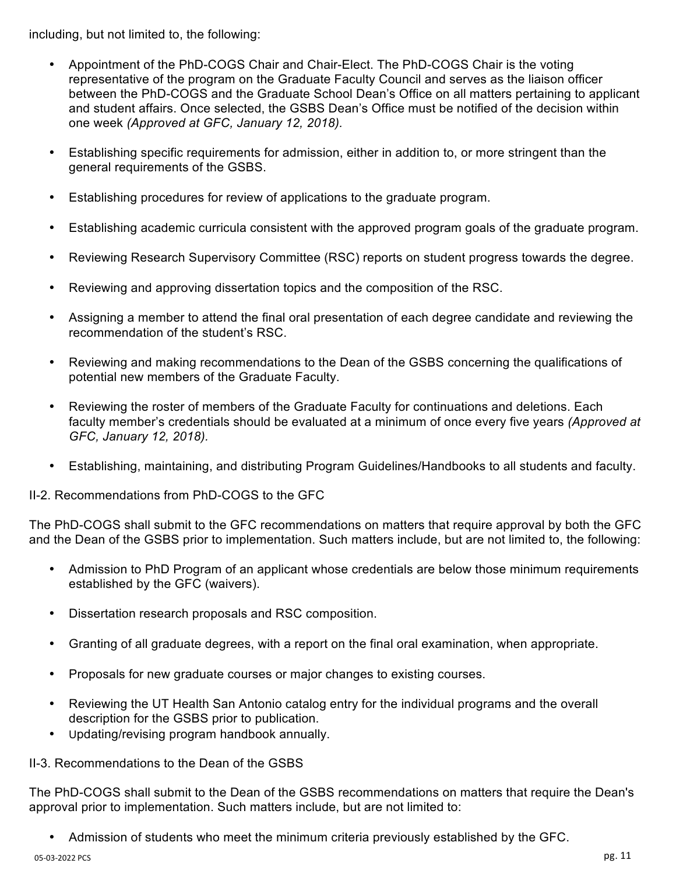including, but not limited to, the following:

- Appointment of the PhD-COGS Chair and Chair-Elect. The PhD-COGS Chair is the voting representative of the program on the Graduate Faculty Council and serves as the liaison officer between the PhD-COGS and the Graduate School Dean's Office on all matters pertaining to applicant and student affairs. Once selected, the GSBS Dean's Office must be notified of the decision within one week *(Approved at GFC, January 12, 2018).*
- Establishing specific requirements for admission, either in addition to, or more stringent than the general requirements of the GSBS.
- Establishing procedures for review of applications to the graduate program.
- Establishing academic curricula consistent with the approved program goals of the graduate program.
- Reviewing Research Supervisory Committee (RSC) reports on student progress towards the degree.
- Reviewing and approving dissertation topics and the composition of the RSC.
- Assigning a member to attend the final oral presentation of each degree candidate and reviewing the recommendation of the student's RSC.
- Reviewing and making recommendations to the Dean of the GSBS concerning the qualifications of potential new members of the Graduate Faculty.
- Reviewing the roster of members of the Graduate Faculty for continuations and deletions. Each faculty member's credentials should be evaluated at a minimum of once every five years *(Approved at GFC, January 12, 2018).*
- Establishing, maintaining, and distributing Program Guidelines/Handbooks to all students and faculty.

II-2. Recommendations from PhD-COGS to the GFC

The PhD-COGS shall submit to the GFC recommendations on matters that require approval by both the GFC and the Dean of the GSBS prior to implementation. Such matters include, but are not limited to, the following:

- Admission to PhD Program of an applicant whose credentials are below those minimum requirements established by the GFC (waivers).
- Dissertation research proposals and RSC composition.
- Granting of all graduate degrees, with a report on the final oral examination, when appropriate.
- Proposals for new graduate courses or major changes to existing courses.
- Reviewing the UT Health San Antonio catalog entry for the individual programs and the overall description for the GSBS prior to publication.
- Updating/revising program handbook annually.

II-3. Recommendations to the Dean of the GSBS

The PhD-COGS shall submit to the Dean of the GSBS recommendations on matters that require the Dean's approval prior to implementation. Such matters include, but are not limited to:

• Admission of students who meet the minimum criteria previously established by the GFC.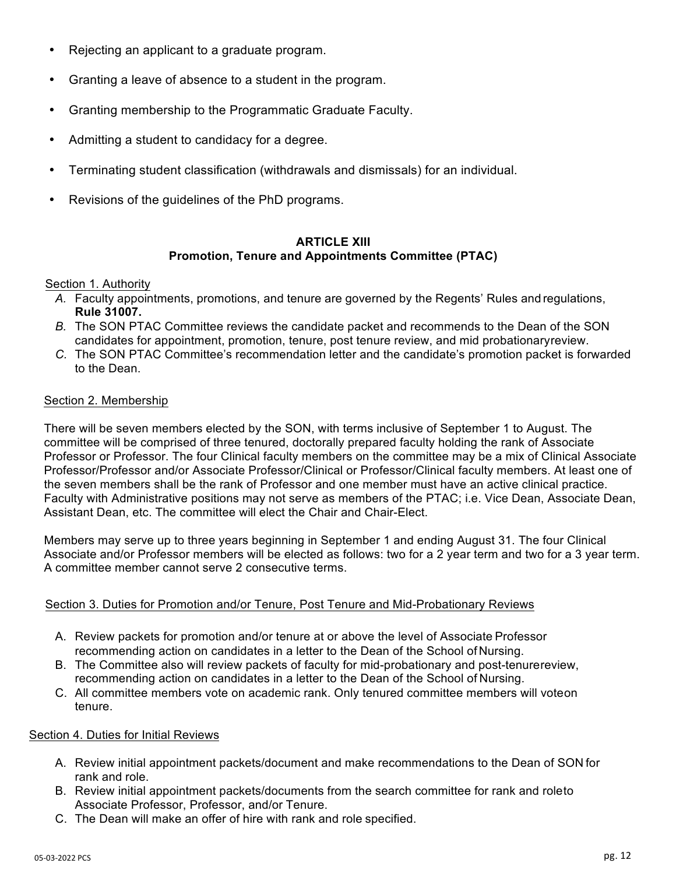- Rejecting an applicant to a graduate program.
- Granting a leave of absence to a student in the program.
- Granting membership to the Programmatic Graduate Faculty.
- Admitting a student to candidacy for a degree.
- Terminating student classification (withdrawals and dismissals) for an individual.
- Revisions of the guidelines of the PhD programs.

## **ARTICLE XIII Promotion, Tenure and Appointments Committee (PTAC)**

#### Section 1. Authority

- *A.* Faculty appointments, promotions, and tenure are governed by the Regents' Rules and regulations, **Rule 31007.**
- *B.* The SON PTAC Committee reviews the candidate packet and recommends to the Dean of the SON candidates for appointment, promotion, tenure, post tenure review, and mid probationaryreview.
- *C.* The SON PTAC Committee's recommendation letter and the candidate's promotion packet is forwarded to the Dean.

## Section 2. Membership

There will be seven members elected by the SON, with terms inclusive of September 1 to August. The committee will be comprised of three tenured, doctorally prepared faculty holding the rank of Associate Professor or Professor. The four Clinical faculty members on the committee may be a mix of Clinical Associate Professor/Professor and/or Associate Professor/Clinical or Professor/Clinical faculty members. At least one of the seven members shall be the rank of Professor and one member must have an active clinical practice. Faculty with Administrative positions may not serve as members of the PTAC; i.e. Vice Dean, Associate Dean, Assistant Dean, etc. The committee will elect the Chair and Chair-Elect.

Members may serve up to three years beginning in September 1 and ending August 31. The four Clinical Associate and/or Professor members will be elected as follows: two for a 2 year term and two for a 3 year term. A committee member cannot serve 2 consecutive terms.

# Section 3. Duties for Promotion and/or Tenure, Post Tenure and Mid-Probationary Reviews

- A. Review packets for promotion and/or tenure at or above the level of Associate Professor recommending action on candidates in a letter to the Dean of the School of Nursing.
- B. The Committee also will review packets of faculty for mid-probationary and post-tenurereview, recommending action on candidates in a letter to the Dean of the School of Nursing.
- C. All committee members vote on academic rank. Only tenured committee members will voteon tenure.

#### Section 4. Duties for Initial Reviews

- A. Review initial appointment packets/document and make recommendations to the Dean of SON for rank and role.
- B. Review initial appointment packets/documents from the search committee for rank and roleto Associate Professor, Professor, and/or Tenure.
- C. The Dean will make an offer of hire with rank and role specified.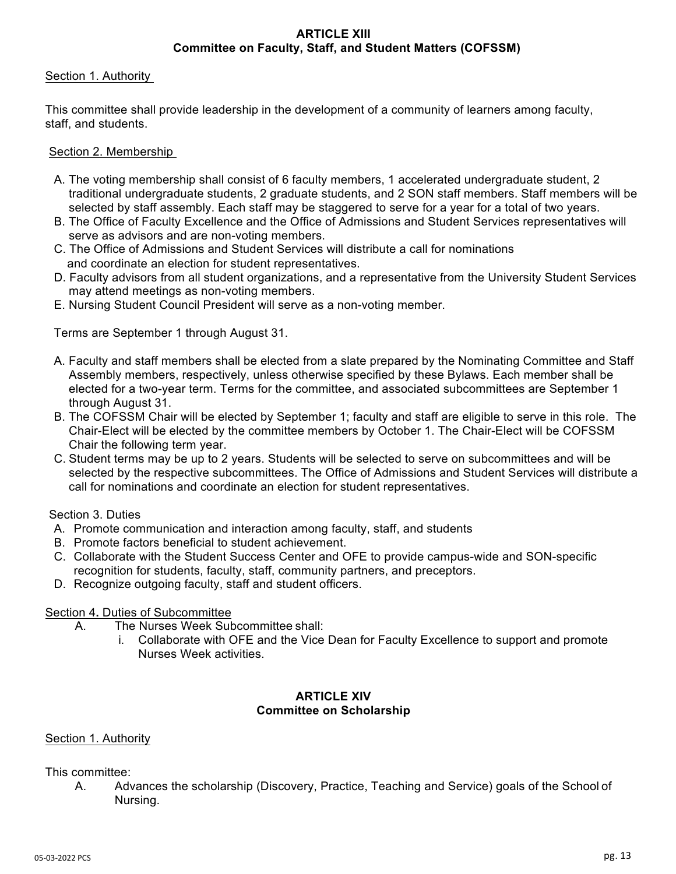# **ARTICLE XIII Committee on Faculty, Staff, and Student Matters (COFSSM)**

## Section 1. Authority

This committee shall provide leadership in the development of a community of learners among faculty, staff, and students.

## Section 2. Membership

- A. The voting membership shall consist of 6 faculty members, 1 accelerated undergraduate student, 2 traditional undergraduate students, 2 graduate students, and 2 SON staff members. Staff members will be selected by staff assembly. Each staff may be staggered to serve for a year for a total of two years.
- B. The Office of Faculty Excellence and the Office of Admissions and Student Services representatives will serve as advisors and are non-voting members.
- C. The Office of Admissions and Student Services will distribute a call for nominations and coordinate an election for student representatives.
- D. Faculty advisors from all student organizations, and a representative from the University Student Services may attend meetings as non-voting members.
- E. Nursing Student Council President will serve as a non-voting member.

Terms are September 1 through August 31.

- A. Faculty and staff members shall be elected from a slate prepared by the Nominating Committee and Staff Assembly members, respectively, unless otherwise specified by these Bylaws. Each member shall be elected for a two-year term. Terms for the committee, and associated subcommittees are September 1 through August 31.
- B. The COFSSM Chair will be elected by September 1; faculty and staff are eligible to serve in this role. The Chair-Elect will be elected by the committee members by October 1. The Chair-Elect will be COFSSM Chair the following term year.
- C. Student terms may be up to 2 years. Students will be selected to serve on subcommittees and will be selected by the respective subcommittees. The Office of Admissions and Student Services will distribute a call for nominations and coordinate an election for student representatives.

Section 3. Duties

- A. Promote communication and interaction among faculty, staff, and students
- B. Promote factors beneficial to student achievement.
- C. Collaborate with the Student Success Center and OFE to provide campus-wide and SON-specific recognition for students, faculty, staff, community partners, and preceptors.
- D. Recognize outgoing faculty, staff and student officers.

#### Section 4**.** Duties of Subcommittee

- A. The Nurses Week Subcommittee shall:
	- i. Collaborate with OFE and the Vice Dean for Faculty Excellence to support and promote Nurses Week activities.

#### **ARTICLE XIV Committee on Scholarship**

#### Section 1. Authority

This committee:

A. Advances the scholarship (Discovery, Practice, Teaching and Service) goals of the School of Nursing.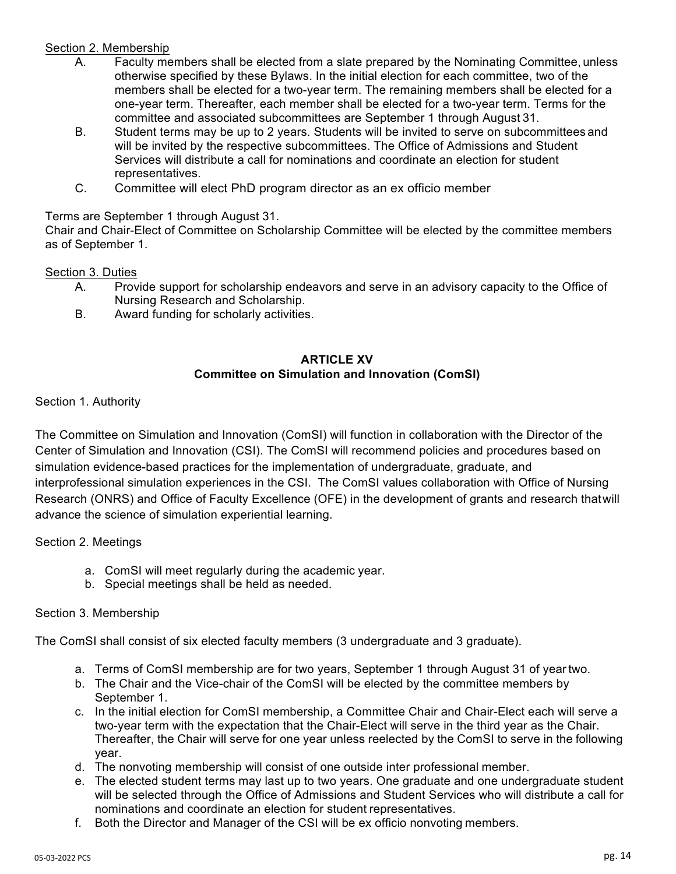# Section 2. Membership

- A. Faculty members shall be elected from a slate prepared by the Nominating Committee, unless otherwise specified by these Bylaws. In the initial election for each committee, two of the members shall be elected for a two-year term. The remaining members shall be elected for a one-year term. Thereafter, each member shall be elected for a two-year term. Terms for the committee and associated subcommittees are September 1 through August 31.
- B. Student terms may be up to 2 years. Students will be invited to serve on subcommittees and will be invited by the respective subcommittees. The Office of Admissions and Student Services will distribute a call for nominations and coordinate an election for student representatives.
- C. Committee will elect PhD program director as an ex officio member

# Terms are September 1 through August 31.

Chair and Chair-Elect of Committee on Scholarship Committee will be elected by the committee members as of September 1.

# Section 3. Duties

- A. Provide support for scholarship endeavors and serve in an advisory capacity to the Office of Nursing Research and Scholarship.
- B. Award funding for scholarly activities.

## **ARTICLE XV Committee on Simulation and Innovation (ComSI)**

Section 1. Authority

The Committee on Simulation and Innovation (ComSI) will function in collaboration with the Director of the Center of Simulation and Innovation (CSI). The ComSI will recommend policies and procedures based on simulation evidence-based practices for the implementation of undergraduate, graduate, and interprofessional simulation experiences in the CSI. The ComSI values collaboration with Office of Nursing Research (ONRS) and Office of Faculty Excellence (OFE) in the development of grants and research thatwill advance the science of simulation experiential learning.

Section 2. Meetings

- a. ComSI will meet regularly during the academic year.
- b. Special meetings shall be held as needed.

# Section 3. Membership

The ComSI shall consist of six elected faculty members (3 undergraduate and 3 graduate).

- a. Terms of ComSI membership are for two years, September 1 through August 31 of yeartwo.
- b. The Chair and the Vice-chair of the ComSI will be elected by the committee members by September 1.
- c. In the initial election for ComSI membership, a Committee Chair and Chair-Elect each will serve a two-year term with the expectation that the Chair-Elect will serve in the third year as the Chair. Thereafter, the Chair will serve for one year unless reelected by the ComSI to serve in the following year.
- d. The nonvoting membership will consist of one outside inter professional member.
- e. The elected student terms may last up to two years. One graduate and one undergraduate student will be selected through the Office of Admissions and Student Services who will distribute a call for nominations and coordinate an election for student representatives.
- f. Both the Director and Manager of the CSI will be ex officio nonvoting members.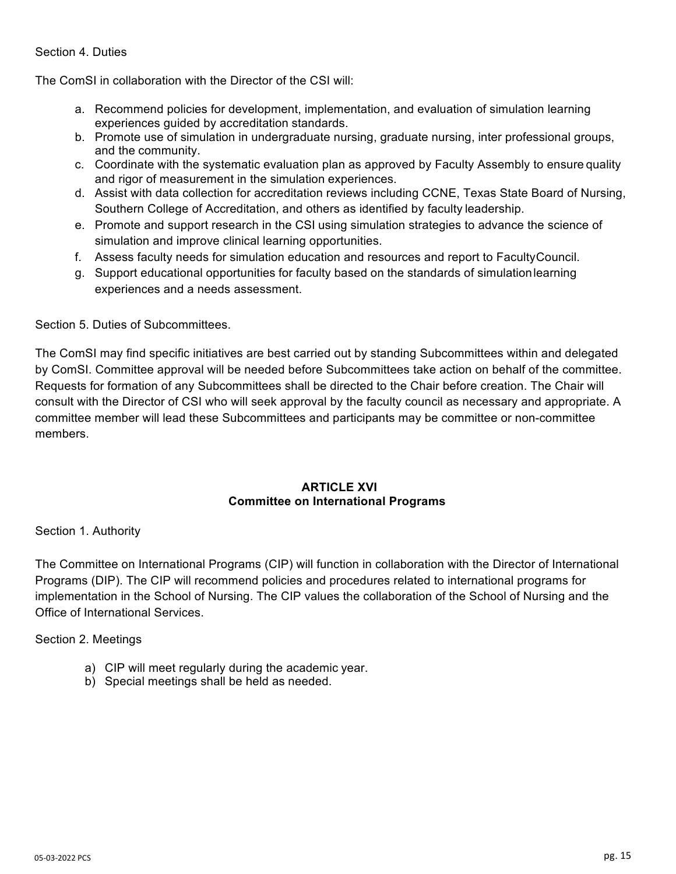# Section 4. Duties

The ComSI in collaboration with the Director of the CSI will:

- a. Recommend policies for development, implementation, and evaluation of simulation learning experiences guided by accreditation standards.
- b. Promote use of simulation in undergraduate nursing, graduate nursing, inter professional groups, and the community.
- c. Coordinate with the systematic evaluation plan as approved by Faculty Assembly to ensure quality and rigor of measurement in the simulation experiences.
- d. Assist with data collection for accreditation reviews including CCNE, Texas State Board of Nursing, Southern College of Accreditation, and others as identified by faculty leadership.
- e. Promote and support research in the CSI using simulation strategies to advance the science of simulation and improve clinical learning opportunities.
- f. Assess faculty needs for simulation education and resources and report to FacultyCouncil.
- g. Support educational opportunities for faculty based on the standards of simulationlearning experiences and a needs assessment.

Section 5. Duties of Subcommittees.

The ComSI may find specific initiatives are best carried out by standing Subcommittees within and delegated by ComSI. Committee approval will be needed before Subcommittees take action on behalf of the committee. Requests for formation of any Subcommittees shall be directed to the Chair before creation. The Chair will consult with the Director of CSI who will seek approval by the faculty council as necessary and appropriate. A committee member will lead these Subcommittees and participants may be committee or non-committee members.

#### **ARTICLE XVI Committee on International Programs**

Section 1. Authority

The Committee on International Programs (CIP) will function in collaboration with the Director of International Programs (DIP). The CIP will recommend policies and procedures related to international programs for implementation in the School of Nursing. The CIP values the collaboration of the School of Nursing and the Office of International Services.

Section 2. Meetings

- a) CIP will meet regularly during the academic year.
- b) Special meetings shall be held as needed.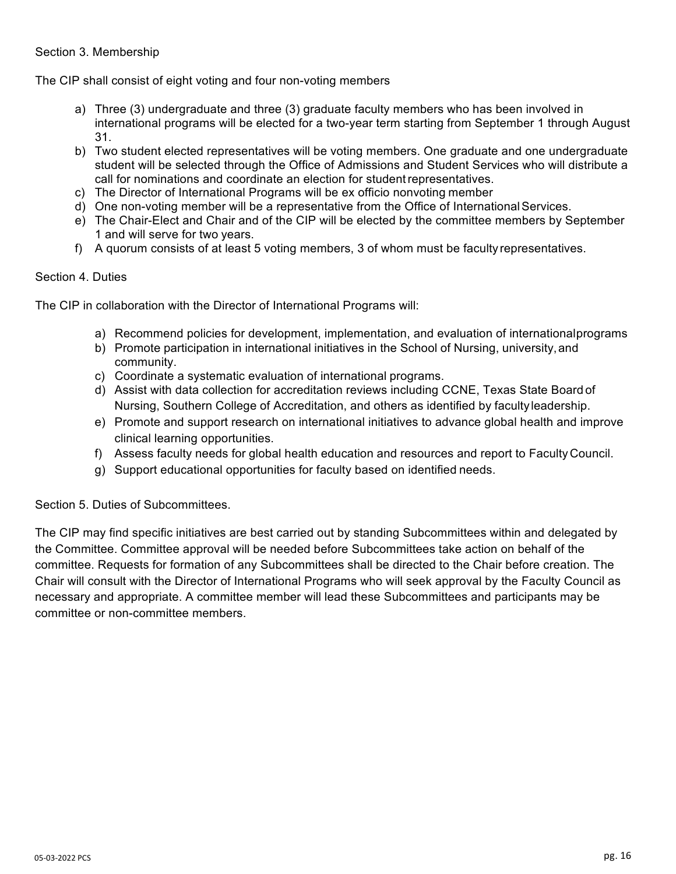## Section 3. Membership

The CIP shall consist of eight voting and four non-voting members

- a) Three (3) undergraduate and three (3) graduate faculty members who has been involved in international programs will be elected for a two-year term starting from September 1 through August 31.
- b) Two student elected representatives will be voting members. One graduate and one undergraduate student will be selected through the Office of Admissions and Student Services who will distribute a call for nominations and coordinate an election for studentrepresentatives.
- c) The Director of International Programs will be ex officio nonvoting member
- d) One non-voting member will be a representative from the Office of InternationalServices.
- e) The Chair-Elect and Chair and of the CIP will be elected by the committee members by September 1 and will serve for two years.
- f) A quorum consists of at least 5 voting members, 3 of whom must be faculty representatives.

# Section 4. Duties

The CIP in collaboration with the Director of International Programs will:

- a) Recommend policies for development, implementation, and evaluation of internationalprograms
- b) Promote participation in international initiatives in the School of Nursing, university,and community.
- c) Coordinate a systematic evaluation of international programs.
- d) Assist with data collection for accreditation reviews including CCNE, Texas State Board of Nursing, Southern College of Accreditation, and others as identified by faculty leadership.
- e) Promote and support research on international initiatives to advance global health and improve clinical learning opportunities.
- f) Assess faculty needs for global health education and resources and report to Faculty Council.
- g) Support educational opportunities for faculty based on identified needs.

Section 5. Duties of Subcommittees.

The CIP may find specific initiatives are best carried out by standing Subcommittees within and delegated by the Committee. Committee approval will be needed before Subcommittees take action on behalf of the committee. Requests for formation of any Subcommittees shall be directed to the Chair before creation. The Chair will consult with the Director of International Programs who will seek approval by the Faculty Council as necessary and appropriate. A committee member will lead these Subcommittees and participants may be committee or non-committee members.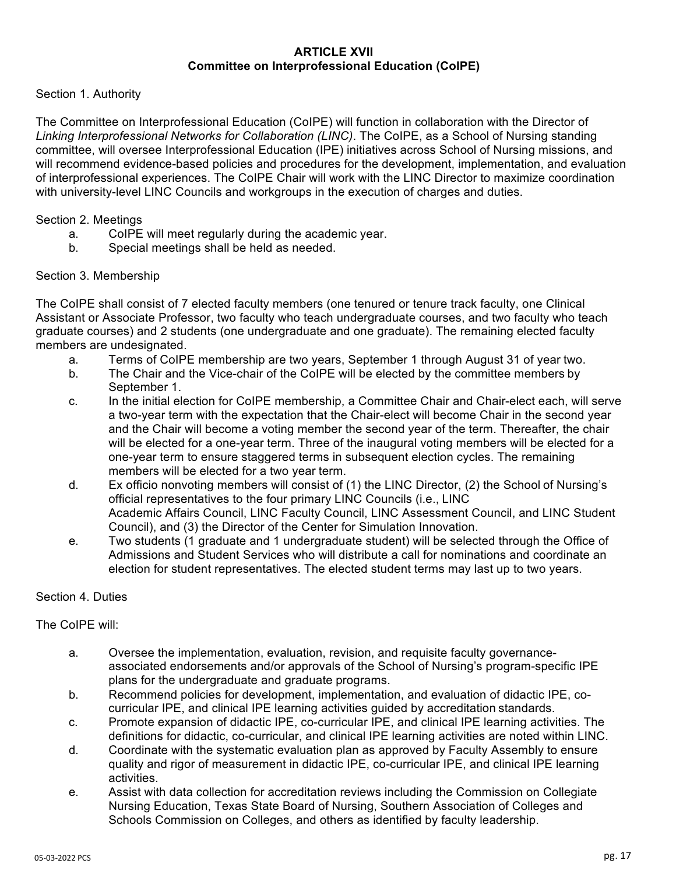## **ARTICLE XVII Committee on Interprofessional Education (CoIPE)**

## Section 1. Authority

The Committee on Interprofessional Education (CoIPE) will function in collaboration with the Director of *Linking Interprofessional Networks for Collaboration (LINC)*. The CoIPE, as a School of Nursing standing committee, will oversee Interprofessional Education (IPE) initiatives across School of Nursing missions, and will recommend evidence-based policies and procedures for the development, implementation, and evaluation of interprofessional experiences. The CoIPE Chair will work with the LINC Director to maximize coordination with university-level LINC Councils and workgroups in the execution of charges and duties.

#### Section 2. Meetings

- a. CoIPE will meet regularly during the academic year.
- b. Special meetings shall be held as needed.

## Section 3. Membership

The CoIPE shall consist of 7 elected faculty members (one tenured or tenure track faculty, one Clinical Assistant or Associate Professor, two faculty who teach undergraduate courses, and two faculty who teach graduate courses) and 2 students (one undergraduate and one graduate). The remaining elected faculty members are undesignated.

- a. Terms of CoIPE membership are two years, September 1 through August 31 of year two.
- b. The Chair and the Vice-chair of the CoIPE will be elected by the committee members by September 1.
- c. In the initial election for CoIPE membership, a Committee Chair and Chair-elect each, will serve a two-year term with the expectation that the Chair-elect will become Chair in the second year and the Chair will become a voting member the second year of the term. Thereafter, the chair will be elected for a one-year term. Three of the inaugural voting members will be elected for a one-year term to ensure staggered terms in subsequent election cycles. The remaining members will be elected for a two year term.
- d. Ex officio nonvoting members will consist of (1) the LINC Director, (2) the School of Nursing's official representatives to the four primary LINC Councils (i.e., LINC Academic Affairs Council, LINC Faculty Council, LINC Assessment Council, and LINC Student Council), and (3) the Director of the Center for Simulation Innovation.
- e. Two students (1 graduate and 1 undergraduate student) will be selected through the Office of Admissions and Student Services who will distribute a call for nominations and coordinate an election for student representatives. The elected student terms may last up to two years.

#### Section 4. Duties

#### The CoIPE will:

- a. Oversee the implementation, evaluation, revision, and requisite faculty governanceassociated endorsements and/or approvals of the School of Nursing's program-specific IPE plans for the undergraduate and graduate programs.
- b. Recommend policies for development, implementation, and evaluation of didactic IPE, cocurricular IPE, and clinical IPE learning activities guided by accreditation standards.
- c. Promote expansion of didactic IPE, co-curricular IPE, and clinical IPE learning activities. The definitions for didactic, co-curricular, and clinical IPE learning activities are noted within LINC.
- d. Coordinate with the systematic evaluation plan as approved by Faculty Assembly to ensure quality and rigor of measurement in didactic IPE, co-curricular IPE, and clinical IPE learning activities.
- e. Assist with data collection for accreditation reviews including the Commission on Collegiate Nursing Education, Texas State Board of Nursing, Southern Association of Colleges and Schools Commission on Colleges, and others as identified by faculty leadership.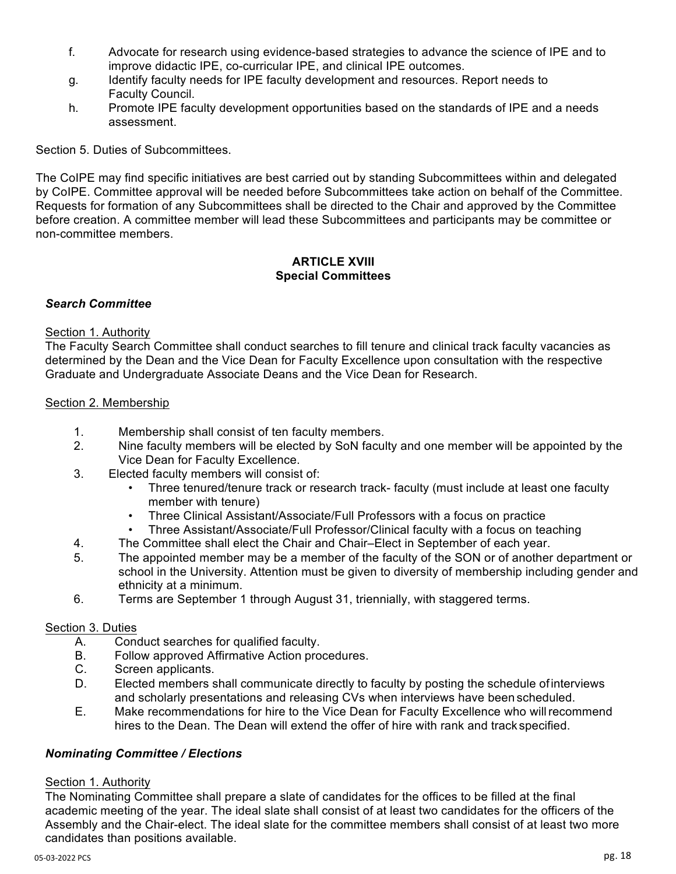- f. Advocate for research using evidence-based strategies to advance the science of IPE and to improve didactic IPE, co-curricular IPE, and clinical IPE outcomes.
- g. Identify faculty needs for IPE faculty development and resources. Report needs to Faculty Council.
- h. Promote IPE faculty development opportunities based on the standards of IPE and a needs assessment.

Section 5. Duties of Subcommittees.

The CoIPE may find specific initiatives are best carried out by standing Subcommittees within and delegated by CoIPE. Committee approval will be needed before Subcommittees take action on behalf of the Committee. Requests for formation of any Subcommittees shall be directed to the Chair and approved by the Committee before creation. A committee member will lead these Subcommittees and participants may be committee or non-committee members.

## **ARTICLE XVIII Special Committees**

# *Search Committee*

# Section 1. Authority

The Faculty Search Committee shall conduct searches to fill tenure and clinical track faculty vacancies as determined by the Dean and the Vice Dean for Faculty Excellence upon consultation with the respective Graduate and Undergraduate Associate Deans and the Vice Dean for Research.

## Section 2. Membership

- 1. Membership shall consist of ten faculty members.
- 2. Nine faculty members will be elected by SoN faculty and one member will be appointed by the Vice Dean for Faculty Excellence.
- 3. Elected faculty members will consist of:
	- Three tenured/tenure track or research track- faculty (must include at least one faculty member with tenure)
	- Three Clinical Assistant/Associate/Full Professors with a focus on practice
	- Three Assistant/Associate/Full Professor/Clinical faculty with a focus on teaching
- 4. The Committee shall elect the Chair and Chair–Elect in September of each year.
- 5. The appointed member may be a member of the faculty of the SON or of another department or school in the University. Attention must be given to diversity of membership including gender and ethnicity at a minimum.
- 6. Terms are September 1 through August 31, triennially, with staggered terms.

# Section 3. Duties

- A. Conduct searches for qualified faculty.
- B. Follow approved Affirmative Action procedures.
- C. Screen applicants.
- D. Elected members shall communicate directly to faculty by posting the schedule ofinterviews and scholarly presentations and releasing CVs when interviews have been scheduled.
- E. Make recommendations for hire to the Vice Dean for Faculty Excellence who willrecommend hires to the Dean. The Dean will extend the offer of hire with rank and track specified.

# *Nominating Committee / Elections*

# Section 1. Authority

The Nominating Committee shall prepare a slate of candidates for the offices to be filled at the final academic meeting of the year. The ideal slate shall consist of at least two candidates for the officers of the Assembly and the Chair-elect. The ideal slate for the committee members shall consist of at least two more candidates than positions available.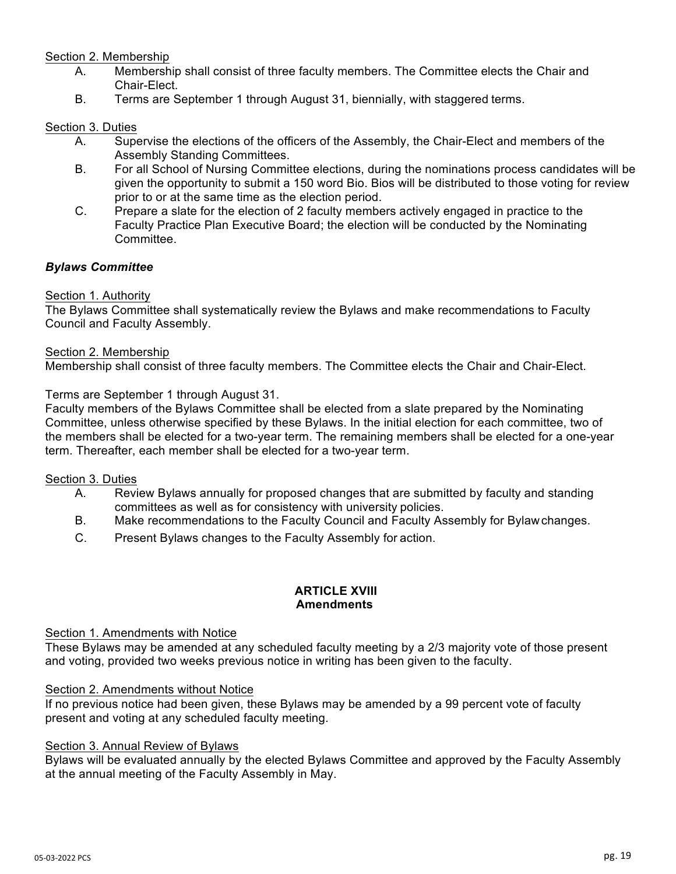# Section 2. Membership

- A. Membership shall consist of three faculty members. The Committee elects the Chair and Chair-Elect.
- B. Terms are September 1 through August 31, biennially, with staggered terms.

## Section 3. Duties

- A. Supervise the elections of the officers of the Assembly, the Chair-Elect and members of the Assembly Standing Committees.
- B. For all School of Nursing Committee elections, during the nominations process candidates will be given the opportunity to submit a 150 word Bio. Bios will be distributed to those voting for review prior to or at the same time as the election period.
- C. Prepare a slate for the election of 2 faculty members actively engaged in practice to the Faculty Practice Plan Executive Board; the election will be conducted by the Nominating Committee.

# *Bylaws Committee*

## Section 1. Authority

The Bylaws Committee shall systematically review the Bylaws and make recommendations to Faculty Council and Faculty Assembly.

#### Section 2. Membership

Membership shall consist of three faculty members. The Committee elects the Chair and Chair-Elect.

## Terms are September 1 through August 31.

Faculty members of the Bylaws Committee shall be elected from a slate prepared by the Nominating Committee, unless otherwise specified by these Bylaws. In the initial election for each committee, two of the members shall be elected for a two-year term. The remaining members shall be elected for a one-year term. Thereafter, each member shall be elected for a two-year term.

## Section 3. Duties

- A. Review Bylaws annually for proposed changes that are submitted by faculty and standing committees as well as for consistency with university policies.
- B. Make recommendations to the Faculty Council and Faculty Assembly for Bylawchanges.
- C. Present Bylaws changes to the Faculty Assembly for action.

## **ARTICLE XVIII Amendments**

#### Section 1. Amendments with Notice

These Bylaws may be amended at any scheduled faculty meeting by a 2/3 majority vote of those present and voting, provided two weeks previous notice in writing has been given to the faculty.

#### Section 2. Amendments without Notice

If no previous notice had been given, these Bylaws may be amended by a 99 percent vote of faculty present and voting at any scheduled faculty meeting.

#### Section 3. Annual Review of Bylaws

Bylaws will be evaluated annually by the elected Bylaws Committee and approved by the Faculty Assembly at the annual meeting of the Faculty Assembly in May.